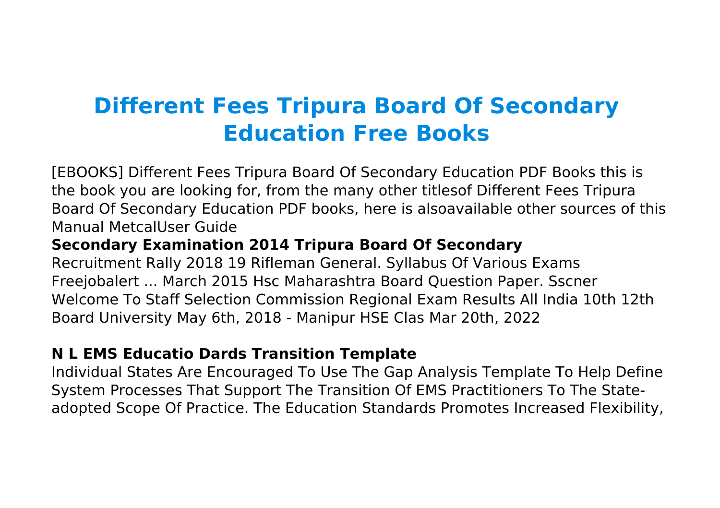# **Different Fees Tripura Board Of Secondary Education Free Books**

[EBOOKS] Different Fees Tripura Board Of Secondary Education PDF Books this is the book you are looking for, from the many other titlesof Different Fees Tripura Board Of Secondary Education PDF books, here is alsoavailable other sources of this Manual MetcalUser Guide

## **Secondary Examination 2014 Tripura Board Of Secondary**

Recruitment Rally 2018 19 Rifleman General. Syllabus Of Various Exams Freejobalert ... March 2015 Hsc Maharashtra Board Question Paper. Sscner Welcome To Staff Selection Commission Regional Exam Results All India 10th 12th Board University May 6th, 2018 - Manipur HSE Clas Mar 20th, 2022

## **N L EMS Educatio Dards Transition Template**

Individual States Are Encouraged To Use The Gap Analysis Template To Help Define System Processes That Support The Transition Of EMS Practitioners To The Stateadopted Scope Of Practice. The Education Standards Promotes Increased Flexibility,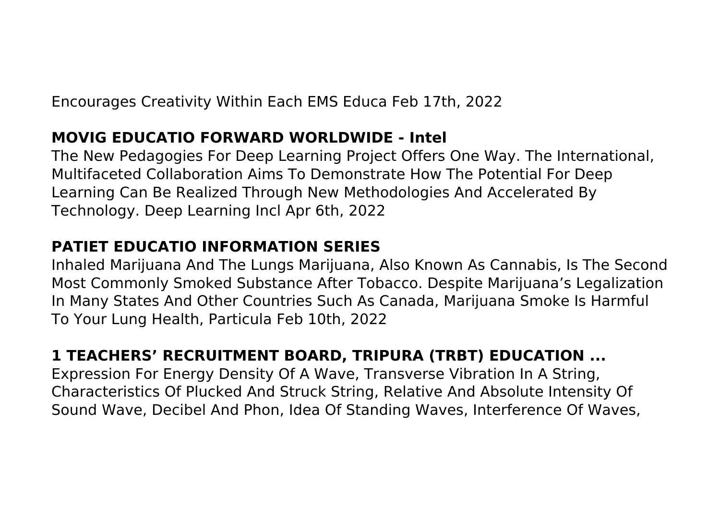Encourages Creativity Within Each EMS Educa Feb 17th, 2022

## **MOVIG EDUCATIO FORWARD WORLDWIDE - Intel**

The New Pedagogies For Deep Learning Project Offers One Way. The International, Multifaceted Collaboration Aims To Demonstrate How The Potential For Deep Learning Can Be Realized Through New Methodologies And Accelerated By Technology. Deep Learning Incl Apr 6th, 2022

## **PATIET EDUCATIO INFORMATION SERIES**

Inhaled Marijuana And The Lungs Marijuana, Also Known As Cannabis, Is The Second Most Commonly Smoked Substance After Tobacco. Despite Marijuana's Legalization In Many States And Other Countries Such As Canada, Marijuana Smoke Is Harmful To Your Lung Health, Particula Feb 10th, 2022

## **1 TEACHERS' RECRUITMENT BOARD, TRIPURA (TRBT) EDUCATION ...**

Expression For Energy Density Of A Wave, Transverse Vibration In A String, Characteristics Of Plucked And Struck String, Relative And Absolute Intensity Of Sound Wave, Decibel And Phon, Idea Of Standing Waves, Interference Of Waves,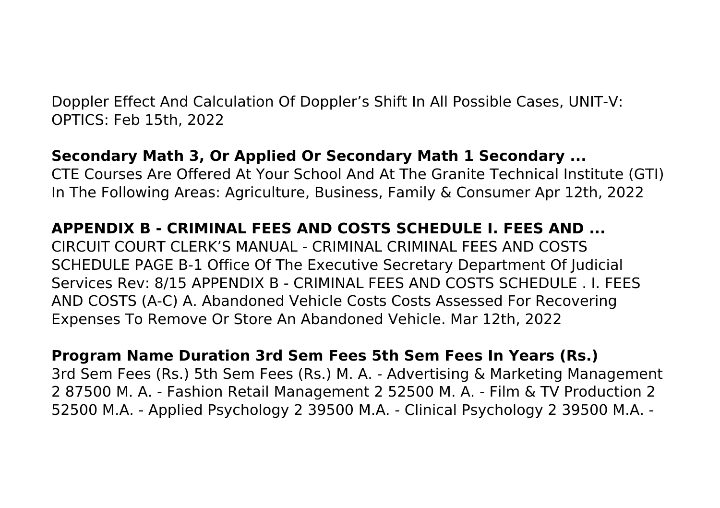Doppler Effect And Calculation Of Doppler's Shift In All Possible Cases, UNIT-V: OPTICS: Feb 15th, 2022

## **Secondary Math 3, Or Applied Or Secondary Math 1 Secondary ...**

CTE Courses Are Offered At Your School And At The Granite Technical Institute (GTI) In The Following Areas: Agriculture, Business, Family & Consumer Apr 12th, 2022

## **APPENDIX B - CRIMINAL FEES AND COSTS SCHEDULE I. FEES AND ...**

CIRCUIT COURT CLERK'S MANUAL - CRIMINAL CRIMINAL FEES AND COSTS SCHEDULE PAGE B-1 Office Of The Executive Secretary Department Of Judicial Services Rev: 8/15 APPENDIX B - CRIMINAL FEES AND COSTS SCHEDULE . I. FEES AND COSTS (A-C) A. Abandoned Vehicle Costs Costs Assessed For Recovering Expenses To Remove Or Store An Abandoned Vehicle. Mar 12th, 2022

#### **Program Name Duration 3rd Sem Fees 5th Sem Fees In Years (Rs.)**

3rd Sem Fees (Rs.) 5th Sem Fees (Rs.) M. A. ‐ Advertising & Marketing Management 2 87500 M. A. ‐ Fashion Retail Management 2 52500 M. A. ‐ Film & TV Production 2 52500 M.A. ‐ Applied Psychology 2 39500 M.A. ‐ Clinical Psychology 2 39500 M.A. ‐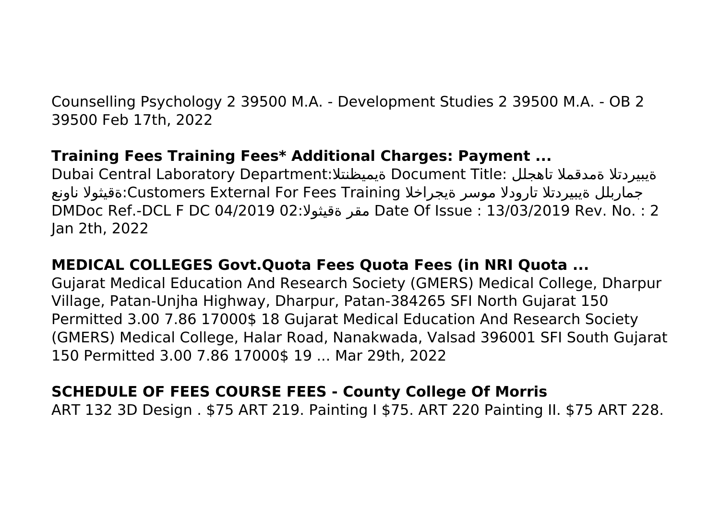Counselling Psychology 2 39500 M.A. ‐ Development Studies 2 39500 M.A. ‐ OB 2 39500 Feb 17th, 2022

## **Training Fees Training Fees\* Additional Charges: Payment ...**

Dubai Central Laboratory Department:ةيميظنتلا Document Title: تاهجلل ةمدقملا ةيبيردتلا جماربلل ةيبيردتلا تارودلا موسر ةيجراخلا Training Fees For External Customers:ةقيثولا ناونع DMDoc Ref.-DCL F DC 04/2019 02:ةقيثولا مقر Date Of Issue : 13/03/2019 Rev. No. : 2 Jan 2th, 2022

# **MEDICAL COLLEGES Govt.Quota Fees Quota Fees (in NRI Quota ...**

Gujarat Medical Education And Research Society (GMERS) Medical College, Dharpur Village, Patan-Unjha Highway, Dharpur, Patan-384265 SFI North Gujarat 150 Permitted 3.00 7.86 17000\$ 18 Gujarat Medical Education And Research Society (GMERS) Medical College, Halar Road, Nanakwada, Valsad 396001 SFI South Gujarat 150 Permitted 3.00 7.86 17000\$ 19 ... Mar 29th, 2022

## **SCHEDULE OF FEES COURSE FEES - County College Of Morris**

ART 132 3D Design . \$75 ART 219. Painting I \$75. ART 220 Painting II. \$75 ART 228.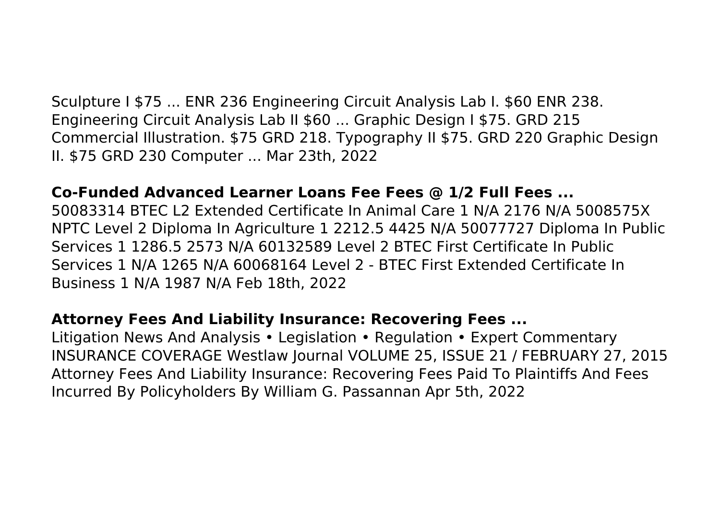Sculpture I \$75 ... ENR 236 Engineering Circuit Analysis Lab I. \$60 ENR 238. Engineering Circuit Analysis Lab II \$60 ... Graphic Design I \$75. GRD 215 Commercial Illustration. \$75 GRD 218. Typography II \$75. GRD 220 Graphic Design II. \$75 GRD 230 Computer ... Mar 23th, 2022

#### **Co-Funded Advanced Learner Loans Fee Fees @ 1/2 Full Fees ...**

50083314 BTEC L2 Extended Certificate In Animal Care 1 N/A 2176 N/A 5008575X NPTC Level 2 Diploma In Agriculture 1 2212.5 4425 N/A 50077727 Diploma In Public Services 1 1286.5 2573 N/A 60132589 Level 2 BTEC First Certificate In Public Services 1 N/A 1265 N/A 60068164 Level 2 - BTEC First Extended Certificate In Business 1 N/A 1987 N/A Feb 18th, 2022

#### **Attorney Fees And Liability Insurance: Recovering Fees ...**

Litigation News And Analysis • Legislation • Regulation • Expert Commentary INSURANCE COVERAGE Westlaw Journal VOLUME 25, ISSUE 21 / FEBRUARY 27, 2015 Attorney Fees And Liability Insurance: Recovering Fees Paid To Plaintiffs And Fees Incurred By Policyholders By William G. Passannan Apr 5th, 2022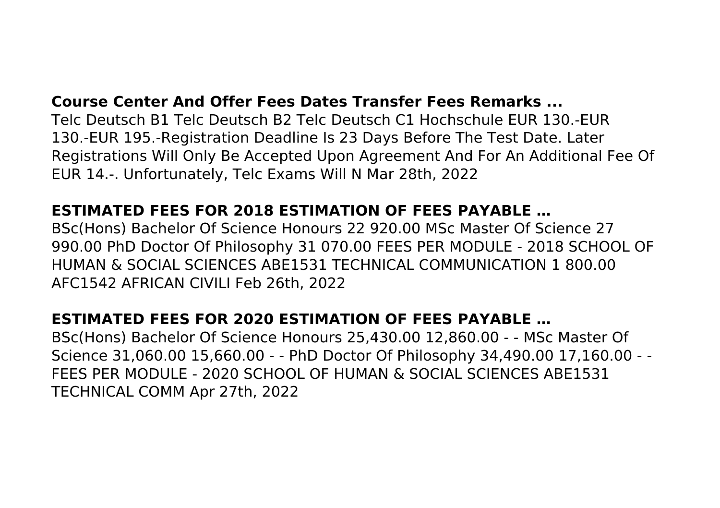#### **Course Center And Offer Fees Dates Transfer Fees Remarks ...**

Telc Deutsch B1 Telc Deutsch B2 Telc Deutsch C1 Hochschule EUR 130.-EUR 130.-EUR 195.-Registration Deadline Is 23 Days Before The Test Date. Later Registrations Will Only Be Accepted Upon Agreement And For An Additional Fee Of EUR 14.-. Unfortunately, Telc Exams Will N Mar 28th, 2022

## **ESTIMATED FEES FOR 2018 ESTIMATION OF FEES PAYABLE …**

BSc(Hons) Bachelor Of Science Honours 22 920.00 MSc Master Of Science 27 990.00 PhD Doctor Of Philosophy 31 070.00 FEES PER MODULE - 2018 SCHOOL OF HUMAN & SOCIAL SCIENCES ABE1531 TECHNICAL COMMUNICATION 1 800.00 AFC1542 AFRICAN CIVILI Feb 26th, 2022

## **ESTIMATED FEES FOR 2020 ESTIMATION OF FEES PAYABLE …**

BSc(Hons) Bachelor Of Science Honours 25,430.00 12,860.00 - - MSc Master Of Science 31,060.00 15,660.00 - - PhD Doctor Of Philosophy 34,490.00 17,160.00 - - FEES PER MODULE - 2020 SCHOOL OF HUMAN & SOCIAL SCIENCES ABE1531 TECHNICAL COMM Apr 27th, 2022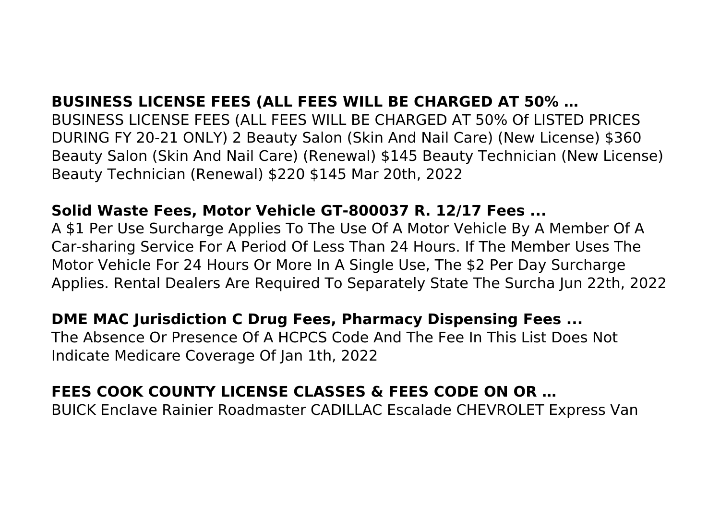## **BUSINESS LICENSE FEES (ALL FEES WILL BE CHARGED AT 50% …**

BUSINESS LICENSE FEES (ALL FEES WILL BE CHARGED AT 50% Of LISTED PRICES DURING FY 20-21 ONLY) 2 Beauty Salon (Skin And Nail Care) (New License) \$360 Beauty Salon (Skin And Nail Care) (Renewal) \$145 Beauty Technician (New License) Beauty Technician (Renewal) \$220 \$145 Mar 20th, 2022

## **Solid Waste Fees, Motor Vehicle GT-800037 R. 12/17 Fees ...**

A \$1 Per Use Surcharge Applies To The Use Of A Motor Vehicle By A Member Of A Car-sharing Service For A Period Of Less Than 24 Hours. If The Member Uses The Motor Vehicle For 24 Hours Or More In A Single Use, The \$2 Per Day Surcharge Applies. Rental Dealers Are Required To Separately State The Surcha Jun 22th, 2022

## **DME MAC Jurisdiction C Drug Fees, Pharmacy Dispensing Fees ...**

The Absence Or Presence Of A HCPCS Code And The Fee In This List Does Not Indicate Medicare Coverage Of Jan 1th, 2022

# **FEES COOK COUNTY LICENSE CLASSES & FEES CODE ON OR …**

BUICK Enclave Rainier Roadmaster CADILLAC Escalade CHEVROLET Express Van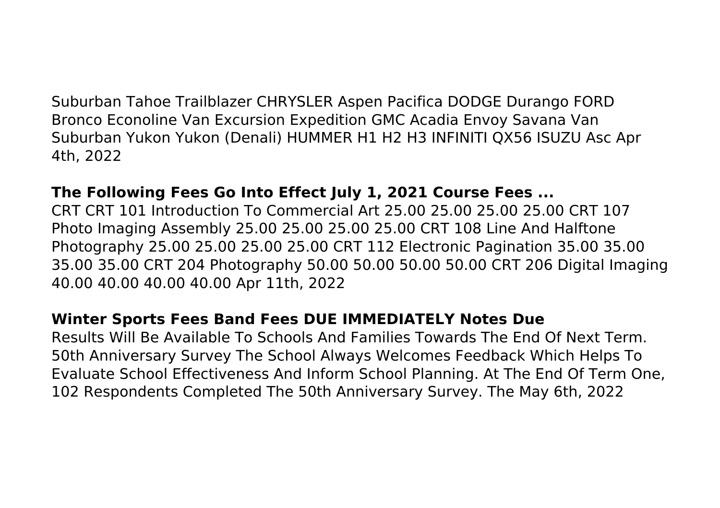Suburban Tahoe Trailblazer CHRYSLER Aspen Pacifica DODGE Durango FORD Bronco Econoline Van Excursion Expedition GMC Acadia Envoy Savana Van Suburban Yukon Yukon (Denali) HUMMER H1 H2 H3 INFINITI QX56 ISUZU Asc Apr 4th, 2022

#### **The Following Fees Go Into Effect July 1, 2021 Course Fees ...**

CRT CRT 101 Introduction To Commercial Art 25.00 25.00 25.00 25.00 CRT 107 Photo Imaging Assembly 25.00 25.00 25.00 25.00 CRT 108 Line And Halftone Photography 25.00 25.00 25.00 25.00 CRT 112 Electronic Pagination 35.00 35.00 35.00 35.00 CRT 204 Photography 50.00 50.00 50.00 50.00 CRT 206 Digital Imaging 40.00 40.00 40.00 40.00 Apr 11th, 2022

#### **Winter Sports Fees Band Fees DUE IMMEDIATELY Notes Due**

Results Will Be Available To Schools And Families Towards The End Of Next Term. 50th Anniversary Survey The School Always Welcomes Feedback Which Helps To Evaluate School Effectiveness And Inform School Planning. At The End Of Term One, 102 Respondents Completed The 50th Anniversary Survey. The May 6th, 2022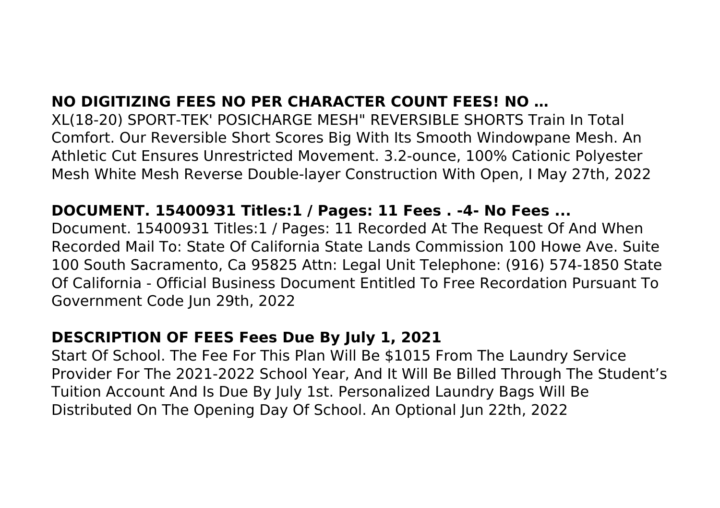## **NO DIGITIZING FEES NO PER CHARACTER COUNT FEES! NO …**

XL(18-20) SPORT-TEK' POSICHARGE MESH" REVERSIBLE SHORTS Train In Total Comfort. Our Reversible Short Scores Big With Its Smooth Windowpane Mesh. An Athletic Cut Ensures Unrestricted Movement. 3.2-ounce, 100% Cationic Polyester Mesh White Mesh Reverse Double-layer Construction With Open, I May 27th, 2022

#### **DOCUMENT. 15400931 Titles:1 / Pages: 11 Fees . -4- No Fees ...**

Document. 15400931 Titles:1 / Pages: 11 Recorded At The Request Of And When Recorded Mail To: State Of California State Lands Commission 100 Howe Ave. Suite 100 South Sacramento, Ca 95825 Attn: Legal Unit Telephone: (916) 574-1850 State Of California - Official Business Document Entitled To Free Recordation Pursuant To Government Code Jun 29th, 2022

## **DESCRIPTION OF FEES Fees Due By July 1, 2021**

Start Of School. The Fee For This Plan Will Be \$1015 From The Laundry Service Provider For The 2021-2022 School Year, And It Will Be Billed Through The Student's Tuition Account And Is Due By July 1st. Personalized Laundry Bags Will Be Distributed On The Opening Day Of School. An Optional Jun 22th, 2022